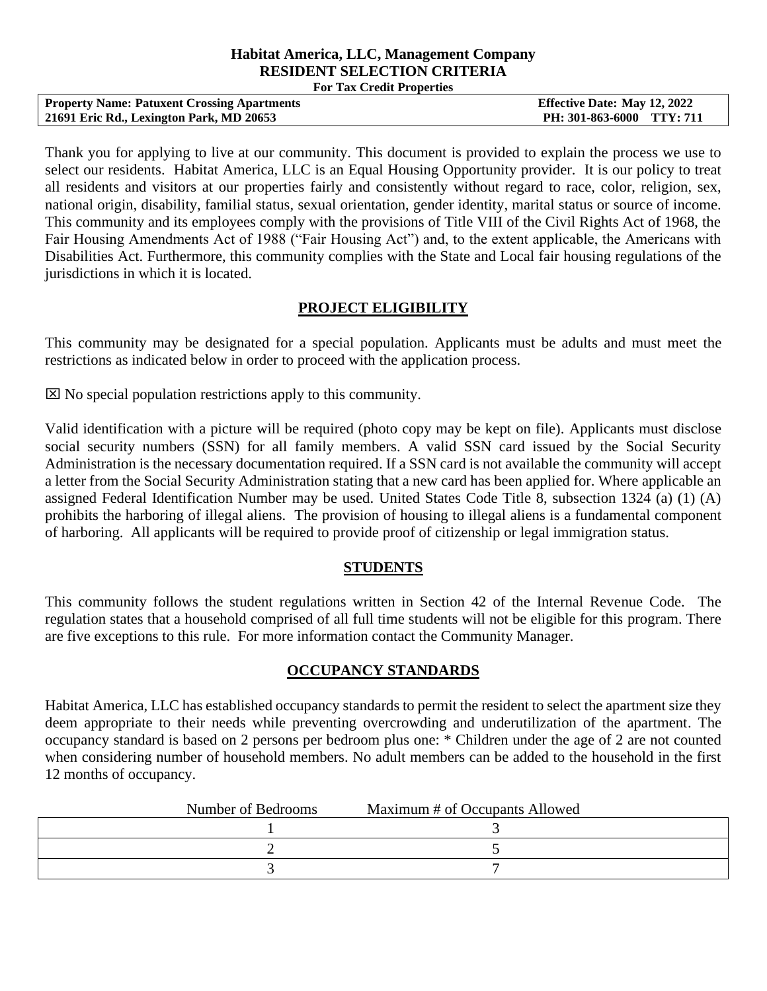#### **Habitat America, LLC, Management Company RESIDENT SELECTION CRITERIA For Tax Credit Properties**

| <b>Property Name: Patuxent Crossing Apartments</b> | <b>Effective Date: May 12, 2022</b> |
|----------------------------------------------------|-------------------------------------|
| 21691 Eric Rd., Lexington Park, MD 20653           | PH: 301-863-6000 TTY: 711           |

Thank you for applying to live at our community. This document is provided to explain the process we use to select our residents. Habitat America, LLC is an Equal Housing Opportunity provider. It is our policy to treat all residents and visitors at our properties fairly and consistently without regard to race, color, religion, sex, national origin, disability, familial status, sexual orientation, gender identity, marital status or source of income. This community and its employees comply with the provisions of Title VIII of the Civil Rights Act of 1968, the Fair Housing Amendments Act of 1988 ("Fair Housing Act") and, to the extent applicable, the Americans with Disabilities Act. Furthermore, this community complies with the State and Local fair housing regulations of the jurisdictions in which it is located.

## **PROJECT ELIGIBILITY**

This community may be designated for a special population. Applicants must be adults and must meet the restrictions as indicated below in order to proceed with the application process.

 $\boxtimes$  No special population restrictions apply to this community.

Valid identification with a picture will be required (photo copy may be kept on file). Applicants must disclose social security numbers (SSN) for all family members. A valid SSN card issued by the Social Security Administration is the necessary documentation required. If a SSN card is not available the community will accept a letter from the Social Security Administration stating that a new card has been applied for. Where applicable an assigned Federal Identification Number may be used. United States Code Title 8, subsection 1324 (a) (1) (A) prohibits the harboring of illegal aliens. The provision of housing to illegal aliens is a fundamental component of harboring. All applicants will be required to provide proof of citizenship or legal immigration status.

#### **STUDENTS**

This community follows the student regulations written in Section 42 of the Internal Revenue Code. The regulation states that a household comprised of all full time students will not be eligible for this program. There are five exceptions to this rule. For more information contact the Community Manager.

# **OCCUPANCY STANDARDS**

Habitat America, LLC has established occupancy standards to permit the resident to select the apartment size they deem appropriate to their needs while preventing overcrowding and underutilization of the apartment. The occupancy standard is based on 2 persons per bedroom plus one: \* Children under the age of 2 are not counted when considering number of household members. No adult members can be added to the household in the first 12 months of occupancy.

| Number of Bedrooms | Maximum # of Occupants Allowed |  |
|--------------------|--------------------------------|--|
|                    |                                |  |
|                    |                                |  |
|                    |                                |  |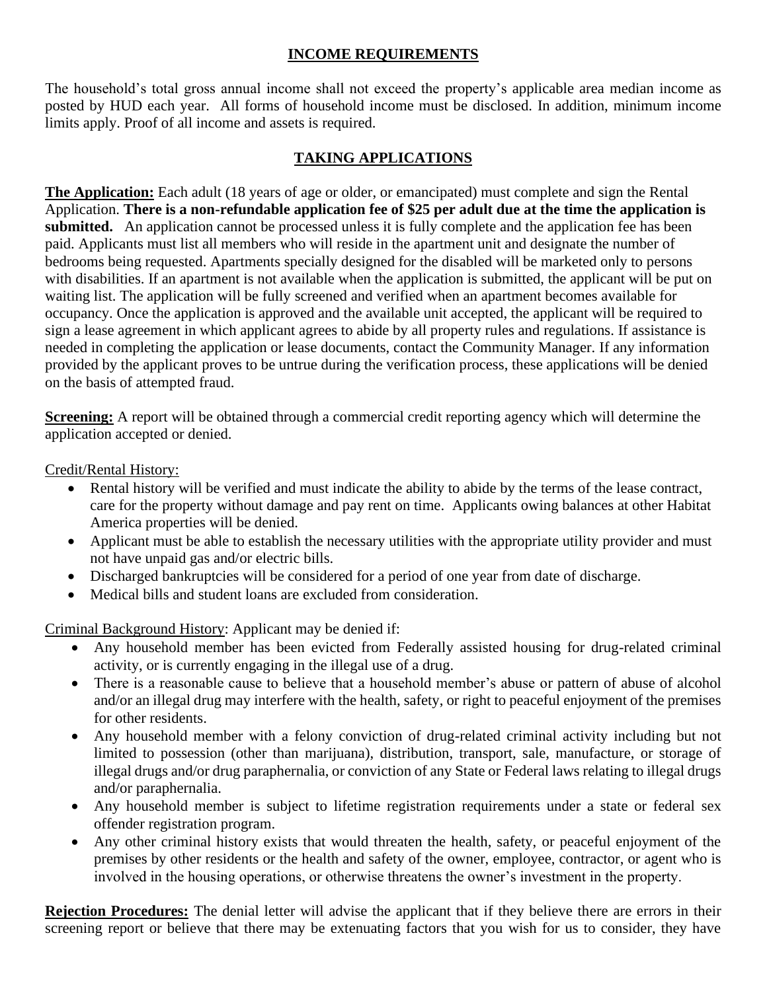# **INCOME REQUIREMENTS**

The household's total gross annual income shall not exceed the property's applicable area median income as posted by HUD each year. All forms of household income must be disclosed. In addition, minimum income limits apply. Proof of all income and assets is required.

# **TAKING APPLICATIONS**

**The Application:** Each adult (18 years of age or older, or emancipated) must complete and sign the Rental Application. **There is a non-refundable application fee of \$25 per adult due at the time the application is submitted.** An application cannot be processed unless it is fully complete and the application fee has been paid. Applicants must list all members who will reside in the apartment unit and designate the number of bedrooms being requested. Apartments specially designed for the disabled will be marketed only to persons with disabilities. If an apartment is not available when the application is submitted, the applicant will be put on waiting list. The application will be fully screened and verified when an apartment becomes available for occupancy. Once the application is approved and the available unit accepted, the applicant will be required to sign a lease agreement in which applicant agrees to abide by all property rules and regulations. If assistance is needed in completing the application or lease documents, contact the Community Manager. If any information provided by the applicant proves to be untrue during the verification process, these applications will be denied on the basis of attempted fraud.

**Screening:** A report will be obtained through a commercial credit reporting agency which will determine the application accepted or denied.

Credit/Rental History:

- Rental history will be verified and must indicate the ability to abide by the terms of the lease contract, care for the property without damage and pay rent on time. Applicants owing balances at other Habitat America properties will be denied.
- Applicant must be able to establish the necessary utilities with the appropriate utility provider and must not have unpaid gas and/or electric bills.
- Discharged bankruptcies will be considered for a period of one year from date of discharge.
- Medical bills and student loans are excluded from consideration.

Criminal Background History: Applicant may be denied if:

- Any household member has been evicted from Federally assisted housing for drug-related criminal activity, or is currently engaging in the illegal use of a drug.
- There is a reasonable cause to believe that a household member's abuse or pattern of abuse of alcohol and/or an illegal drug may interfere with the health, safety, or right to peaceful enjoyment of the premises for other residents.
- Any household member with a felony conviction of drug-related criminal activity including but not limited to possession (other than marijuana), distribution, transport, sale, manufacture, or storage of illegal drugs and/or drug paraphernalia, or conviction of any State or Federal laws relating to illegal drugs and/or paraphernalia.
- Any household member is subject to lifetime registration requirements under a state or federal sex offender registration program.
- Any other criminal history exists that would threaten the health, safety, or peaceful enjoyment of the premises by other residents or the health and safety of the owner, employee, contractor, or agent who is involved in the housing operations, or otherwise threatens the owner's investment in the property.

**Rejection Procedures:** The denial letter will advise the applicant that if they believe there are errors in their screening report or believe that there may be extenuating factors that you wish for us to consider, they have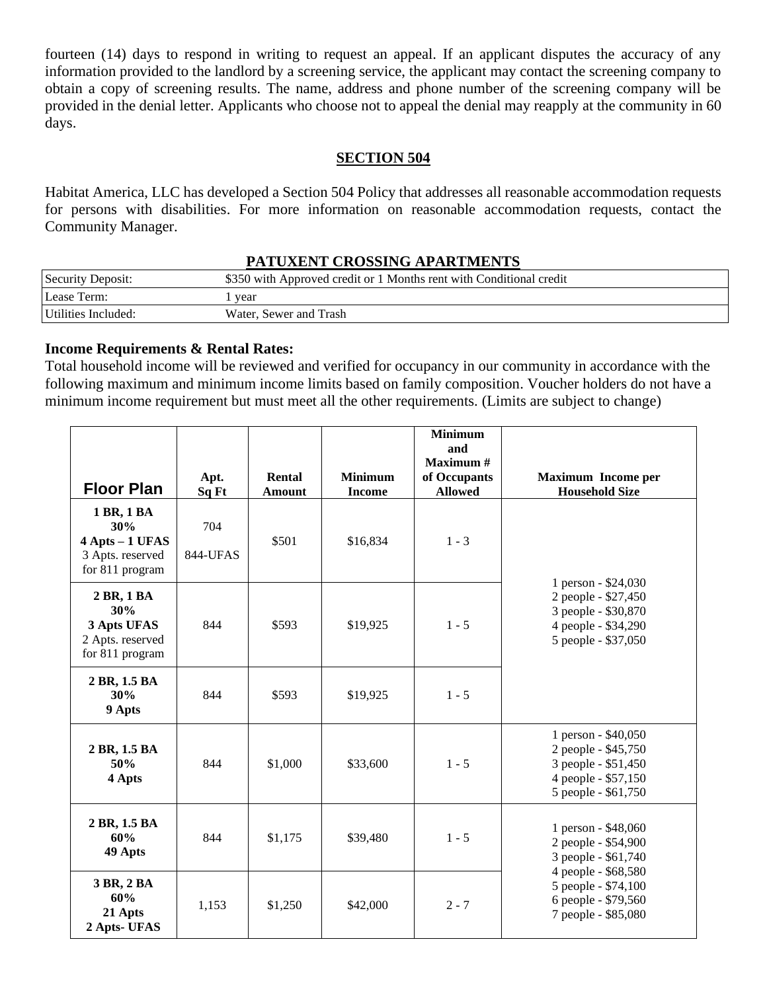fourteen (14) days to respond in writing to request an appeal. If an applicant disputes the accuracy of any information provided to the landlord by a screening service, the applicant may contact the screening company to obtain a copy of screening results. The name, address and phone number of the screening company will be provided in the denial letter. Applicants who choose not to appeal the denial may reapply at the community in 60 days.

## **SECTION 504**

Habitat America, LLC has developed a Section 504 Policy that addresses all reasonable accommodation requests for persons with disabilities. For more information on reasonable accommodation requests, contact the Community Manager.

#### **PATUXENT CROSSING APARTMENTS**

| Security Deposit:   | \$350 with Approved credit or 1 Months rent with Conditional credit |
|---------------------|---------------------------------------------------------------------|
| Lease Term:         | year                                                                |
| Utilities Included: | Water, Sewer and Trash                                              |

## **Income Requirements & Rental Rates:**

Total household income will be reviewed and verified for occupancy in our community in accordance with the following maximum and minimum income limits based on family composition. Voucher holders do not have a minimum income requirement but must meet all the other requirements. (Limits are subject to change)

| <b>Floor Plan</b>                                                           | Apt.<br>Sq Ft          | Rental<br><b>Amount</b> | <b>Minimum</b><br><b>Income</b> | <b>Minimum</b><br>and<br>Maximum #<br>of Occupants<br><b>Allowed</b> | <b>Maximum Income per</b><br><b>Household Size</b>                                                              |
|-----------------------------------------------------------------------------|------------------------|-------------------------|---------------------------------|----------------------------------------------------------------------|-----------------------------------------------------------------------------------------------------------------|
| 1 BR, 1 BA<br>30%<br>4 Apts - 1 UFAS<br>3 Apts. reserved<br>for 811 program | 704<br><b>844-UFAS</b> | \$501                   | \$16,834                        | $1 - 3$                                                              | 1 person - \$24,030                                                                                             |
| 2 BR, 1 BA<br>30%<br>3 Apts UFAS<br>2 Apts. reserved<br>for 811 program     | 844                    | \$593                   | \$19,925                        | $1 - 5$                                                              | 2 people - \$27,450<br>3 people - \$30,870<br>4 people - \$34,290<br>5 people - \$37,050                        |
| 2 BR, 1.5 BA<br>30%<br>9 Apts                                               | 844                    | \$593                   | \$19,925                        | $1 - 5$                                                              |                                                                                                                 |
| 2 BR, 1.5 BA<br>50%<br>4 Apts                                               | 844                    | \$1,000                 | \$33,600                        | $1 - 5$                                                              | 1 person - \$40,050<br>2 people - \$45,750<br>3 people - \$51,450<br>4 people - \$57,150<br>5 people - \$61,750 |
| 2 BR, 1.5 BA<br>60%<br>49 Apts                                              | 844                    | \$1,175                 | \$39,480                        | $1 - 5$                                                              | 1 person - \$48,060<br>2 people - \$54,900<br>3 people - \$61,740                                               |
| 3 BR, 2 BA<br>60%<br>21 Apts<br>2 Apts- UFAS                                | 1,153                  | \$1,250                 | \$42,000                        | $2 - 7$                                                              | 4 people - \$68,580<br>5 people - \$74,100<br>6 people - \$79,560<br>7 people - \$85,080                        |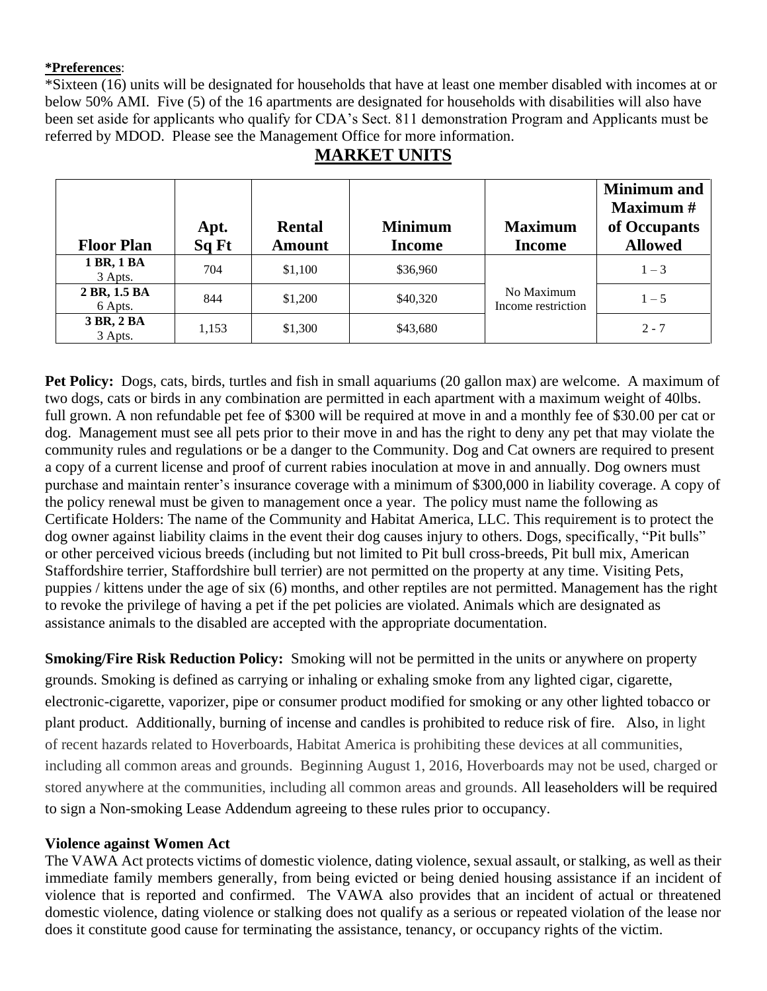#### **\*Preferences**:

\*Sixteen (16) units will be designated for households that have at least one member disabled with incomes at or below 50% AMI. Five (5) of the 16 apartments are designated for households with disabilities will also have been set aside for applicants who qualify for CDA's Sect. 811 demonstration Program and Applicants must be referred by MDOD. Please see the Management Office for more information.

|                         | Apt.  | <b>Rental</b> | <b>Minimum</b> | <b>Maximum</b>                   | <b>Minimum</b> and<br><b>Maximum</b> #<br>of Occupants |
|-------------------------|-------|---------------|----------------|----------------------------------|--------------------------------------------------------|
| <b>Floor Plan</b>       | Sq Ft | <b>Amount</b> | <b>Income</b>  | <b>Income</b>                    | <b>Allowed</b>                                         |
| 1 BR, 1 BA<br>3 Apts.   | 704   | \$1,100       | \$36,960       |                                  | $1 - 3$                                                |
| 2 BR, 1.5 BA<br>6 Apts. | 844   | \$1,200       | \$40,320       | No Maximum<br>Income restriction | $1 - 5$                                                |
| 3 BR, 2 BA<br>3 Apts.   | 1,153 | \$1,300       | \$43,680       |                                  | $2 - 7$                                                |

# **MARKET UNITS**

**Pet Policy:** Dogs, cats, birds, turtles and fish in small aquariums (20 gallon max) are welcome. A maximum of two dogs, cats or birds in any combination are permitted in each apartment with a maximum weight of 40lbs. full grown. A non refundable pet fee of \$300 will be required at move in and a monthly fee of \$30.00 per cat or dog. Management must see all pets prior to their move in and has the right to deny any pet that may violate the community rules and regulations or be a danger to the Community. Dog and Cat owners are required to present a copy of a current license and proof of current rabies inoculation at move in and annually. Dog owners must purchase and maintain renter's insurance coverage with a minimum of \$300,000 in liability coverage. A copy of the policy renewal must be given to management once a year. The policy must name the following as Certificate Holders: The name of the Community and Habitat America, LLC. This requirement is to protect the dog owner against liability claims in the event their dog causes injury to others. Dogs, specifically, "Pit bulls" or other perceived vicious breeds (including but not limited to Pit bull cross-breeds, Pit bull mix, American Staffordshire terrier, Staffordshire bull terrier) are not permitted on the property at any time. Visiting Pets, puppies / kittens under the age of six (6) months, and other reptiles are not permitted. Management has the right to revoke the privilege of having a pet if the pet policies are violated. Animals which are designated as assistance animals to the disabled are accepted with the appropriate documentation.

**Smoking/Fire Risk Reduction Policy:** Smoking will not be permitted in the units or anywhere on property grounds. Smoking is defined as carrying or inhaling or exhaling smoke from any lighted cigar, cigarette, electronic-cigarette, vaporizer, pipe or consumer product modified for smoking or any other lighted tobacco or plant product. Additionally, burning of incense and candles is prohibited to reduce risk of fire. Also, in light of recent hazards related to Hoverboards, Habitat America is prohibiting these devices at all communities, including all common areas and grounds. Beginning August 1, 2016, Hoverboards may not be used, charged or stored anywhere at the communities, including all common areas and grounds. All leaseholders will be required to sign a Non-smoking Lease Addendum agreeing to these rules prior to occupancy.

# **Violence against Women Act**

The VAWA Act protects victims of domestic violence, dating violence, sexual assault, or stalking, as well as their immediate family members generally, from being evicted or being denied housing assistance if an incident of violence that is reported and confirmed. The VAWA also provides that an incident of actual or threatened domestic violence, dating violence or stalking does not qualify as a serious or repeated violation of the lease nor does it constitute good cause for terminating the assistance, tenancy, or occupancy rights of the victim.